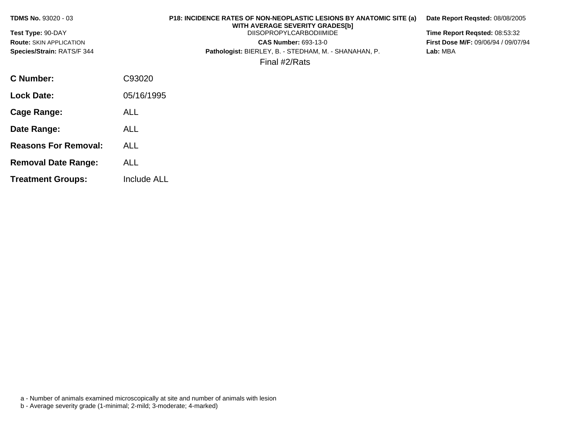| <b>TDMS No. 93020 - 03</b>                          | <b>P18: INCIDENCE RATES OF NON-NEOPLASTIC LESIONS BY ANATOMIC SITE (a)</b><br>WITH AVERAGE SEVERITY GRADES[b] | Date Report Regsted: 08/08/2005                                             |
|-----------------------------------------------------|---------------------------------------------------------------------------------------------------------------|-----------------------------------------------------------------------------|
| Test Type: 90-DAY<br><b>Route: SKIN APPLICATION</b> | <b>DIISOPROPYLCARBODIIMIDE</b><br><b>CAS Number: 693-13-0</b>                                                 | Time Report Regsted: 08:53:32<br><b>First Dose M/F: 09/06/94 / 09/07/94</b> |
| Species/Strain: RATS/F 344                          | Pathologist: BIERLEY, B. - STEDHAM, M. - SHANAHAN, P.                                                         | Lab: MBA                                                                    |
|                                                     | Final #2/Rats                                                                                                 |                                                                             |
| C Number:                                           | C93020                                                                                                        |                                                                             |
| <b>Lock Date:</b>                                   | 05/16/1995                                                                                                    |                                                                             |
| Cage Range:                                         | <b>ALL</b>                                                                                                    |                                                                             |
| Date Range:                                         | ALL                                                                                                           |                                                                             |

- **Reasons For Removal:** ALL
- **Removal Date Range:** ALL
- **Treatment Groups:** Include ALL

- a Number of animals examined microscopically at site and number of animals with lesion
- b Average severity grade (1-minimal; 2-mild; 3-moderate; 4-marked)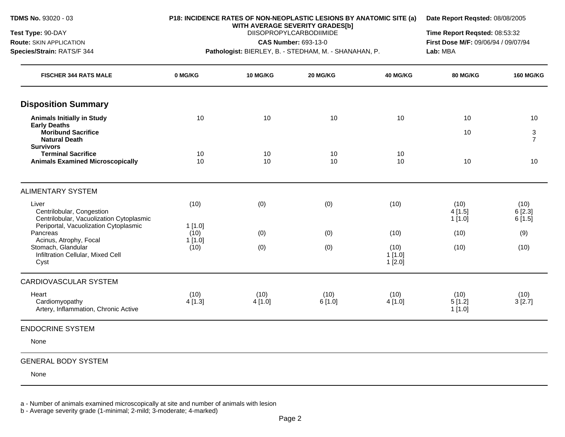**TDMS No.** 93020 - 03

**Test Type:** 90-DAY **Route:** SKIN APPLICATION **Species/Strain:** RATS/F 344

#### **P18: INCIDENCE RATES OF NON-NEOPLASTIC LESIONS BY ANATOMIC SITE (a)**

**Date Report Reqsted:** 08/08/2005

**WITH AVERAGE SEVERITY GRADES[b]**  DIISOPROPYLCARBODIIMIDE

**CAS Number:** 693-13-0

**Pathologist:** BIERLEY, B. - STEDHAM, M. - SHANAHAN, P.

**Time Report Reqsted:** 08:53:32 **First Dose M/F:** 09/06/94 / 09/07/94 **Lab:** MBA

| <b>FISCHER 344 RATS MALE</b>                                                              | 0 MG/KG        | 10 MG/KG       | 20 MG/KG       | 40 MG/KG                    | 80 MG/KG                 | <b>160 MG/KG</b>         |
|-------------------------------------------------------------------------------------------|----------------|----------------|----------------|-----------------------------|--------------------------|--------------------------|
| <b>Disposition Summary</b>                                                                |                |                |                |                             |                          |                          |
| <b>Animals Initially in Study</b>                                                         | 10             | 10             | 10             | 10                          | 10                       | 10                       |
| <b>Early Deaths</b><br><b>Moribund Sacrifice</b><br><b>Natural Death</b>                  |                |                |                |                             | 10                       | 3<br>$\overline{7}$      |
| <b>Survivors</b><br><b>Terminal Sacrifice</b><br><b>Animals Examined Microscopically</b>  | 10<br>10       | 10<br>10       | 10<br>10       | 10<br>10                    | 10                       | 10                       |
| <b>ALIMENTARY SYSTEM</b>                                                                  |                |                |                |                             |                          |                          |
| Liver<br>Centrilobular, Congestion<br>Centrilobular, Vacuolization Cytoplasmic            | (10)           | (0)            | (0)            | (10)                        | (10)<br>4[1.5]<br>1[1.0] | (10)<br>6[2.3]<br>6[1.5] |
| Periportal, Vacuolization Cytoplasmic<br>Pancreas                                         | 1[1.0]<br>(10) | (0)            | (0)            | (10)                        | (10)                     | (9)                      |
| Acinus, Atrophy, Focal<br>Stomach, Glandular<br>Infiltration Cellular, Mixed Cell<br>Cyst | 1[1.0]<br>(10) | (0)            | (0)            | (10)<br>1[1.0]<br>$1$ [2.0] | (10)                     | (10)                     |
| <b>CARDIOVASCULAR SYSTEM</b>                                                              |                |                |                |                             |                          |                          |
| Heart<br>Cardiomyopathy<br>Artery, Inflammation, Chronic Active                           | (10)<br>4[1.3] | (10)<br>4[1.0] | (10)<br>6[1.0] | (10)<br>4[1.0]              | (10)<br>5[1.2]<br>1[1.0] | (10)<br>3[2.7]           |
| <b>ENDOCRINE SYSTEM</b>                                                                   |                |                |                |                             |                          |                          |
| None                                                                                      |                |                |                |                             |                          |                          |
| <b>GENERAL BODY SYSTEM</b>                                                                |                |                |                |                             |                          |                          |

None

a - Number of animals examined microscopically at site and number of animals with lesion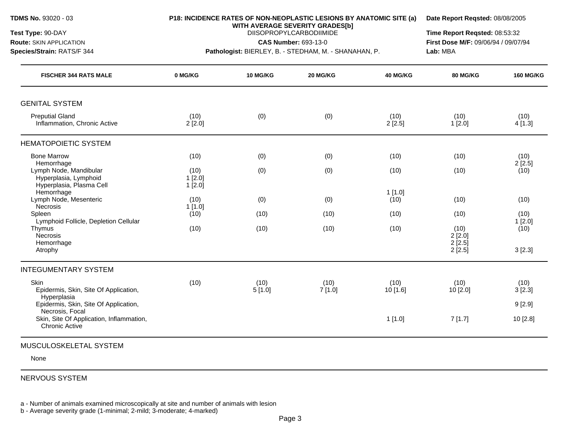**WITH AVERAGE SEVERITY GRADES[b] Test Type:** 90-DAY DIISOPROPYLCARBODIIMIDE **Time Report Reqsted:** 08:53:32

**Route:** SKIN APPLICATION **CAS Number:** 693-13-0 **First Dose M/F:** 09/06/94 / 09/07/94 **Species/Strain:** RATS/F 344 **Pathologist:** BIERLEY, B. - STEDHAM, M. - SHANAHAN, P. **Lab:** MBA

| <b>FISCHER 344 RATS MALE</b>                                                              | 0 MG/KG                  | 10 MG/KG       | 20 MG/KG       | 40 MG/KG         | <b>80 MG/KG</b>  | <b>160 MG/KG</b> |
|-------------------------------------------------------------------------------------------|--------------------------|----------------|----------------|------------------|------------------|------------------|
| <b>GENITAL SYSTEM</b>                                                                     |                          |                |                |                  |                  |                  |
| <b>Preputial Gland</b><br>Inflammation, Chronic Active                                    | (10)<br>2[2.0]           | (0)            | (0)            | (10)<br>2[2.5]   | (10)<br>1[2.0]   | (10)<br>4[1.3]   |
| <b>HEMATOPOIETIC SYSTEM</b>                                                               |                          |                |                |                  |                  |                  |
| <b>Bone Marrow</b>                                                                        | (10)                     | (0)            | (0)            | (10)             | (10)             | (10)             |
| Hemorrhage<br>Lymph Node, Mandibular<br>Hyperplasia, Lymphoid<br>Hyperplasia, Plasma Cell | (10)<br>1[2.0]<br>1[2.0] | (0)            | (0)            | (10)             | (10)             | 2[2.5]<br>(10)   |
| Hemorrhage<br>Lymph Node, Mesenteric<br>Necrosis                                          | (10)<br>1[1.0]           | (0)            | (0)            | 1[1.0]<br>(10)   | (10)             | (10)             |
| Spleen<br>Lymphoid Follicle, Depletion Cellular                                           | (10)                     | (10)           | (10)           | (10)             | (10)             | (10)<br>1[2.0]   |
| Thymus<br>Necrosis<br>Hemorrhage                                                          | (10)                     | (10)           | (10)           | (10)             | (10)<br>2[2.0]   | (10)             |
| Atrophy                                                                                   |                          |                |                |                  | 2[2.5]<br>2[2.5] | 3[2.3]           |
| <b>INTEGUMENTARY SYSTEM</b>                                                               |                          |                |                |                  |                  |                  |
| Skin<br>Epidermis, Skin, Site Of Application,<br>Hyperplasia                              | (10)                     | (10)<br>5[1.0] | (10)<br>7[1.0] | (10)<br>10 [1.6] | (10)<br>10 [2.0] | (10)<br>3[2.3]   |
| Epidermis, Skin, Site Of Application,<br>Necrosis, Focal                                  |                          |                |                |                  |                  | 9[2.9]           |
| Skin, Site Of Application, Inflammation,<br>Chronic Active                                |                          |                |                | 1[1.0]           | 7[1.7]           | 10 [2.8]         |

#### MUSCULOSKELETAL SYSTEM

None

# NERVOUS SYSTEM

a - Number of animals examined microscopically at site and number of animals with lesion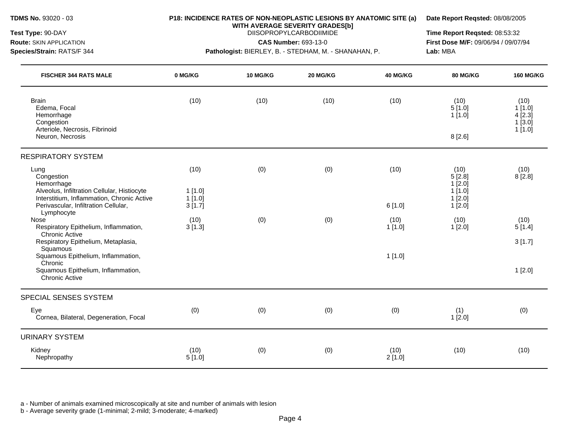**WITH AVERAGE SEVERITY GRADES[b]** 

**Species/Strain:** RATS/F 344 **Pathologist:** BIERLEY, B. - STEDHAM, M. - SHANAHAN, P. **Lab:** MBA

**Test Type:** 90-DAY DIISOPROPYLCARBODIIMIDE **Time Report Reqsted:** 08:53:32 **Route:** SKIN APPLICATION **CAS Number:** 693-13-0 **First Dose M/F:** 09/06/94 / 09/07/94

| <b>FISCHER 344 RATS MALE</b>                                                                                 | 0 MG/KG           | 10 MG/KG | 20 MG/KG | 40 MG/KG       | <b>80 MG/KG</b>                          | <b>160 MG/KG</b>                   |
|--------------------------------------------------------------------------------------------------------------|-------------------|----------|----------|----------------|------------------------------------------|------------------------------------|
| <b>Brain</b><br>Edema, Focal<br>Hemorrhage<br>Congestion                                                     | (10)              | (10)     | (10)     | (10)           | (10)<br>5[1.0]<br>$1$ [1.0]              | (10)<br>1[1.0]<br>4[2.3]<br>1[3.0] |
| Arteriole, Necrosis, Fibrinoid<br>Neuron, Necrosis                                                           |                   |          |          |                | 8[2.6]                                   | $1$ [1.0]                          |
| <b>RESPIRATORY SYSTEM</b>                                                                                    |                   |          |          |                |                                          |                                    |
| Lung<br>Congestion<br>Hemorrhage<br>Alveolus, Infiltration Cellular, Histiocyte                              | (10)<br>$1$ [1.0] | (0)      | (0)      | (10)           | (10)<br>5[2.8]<br>$1$ [2.0]<br>$1$ [1.0] | (10)<br>8[2.8]                     |
| Interstitium, Inflammation, Chronic Active<br>Perivascular, Infiltration Cellular,<br>Lymphocyte             | 1[1.0]<br>3[1.7]  |          |          | 6[1.0]         | 1[2.0]<br>1[2.0]                         |                                    |
| Nose<br>Respiratory Epithelium, Inflammation,<br><b>Chronic Active</b>                                       | (10)<br>3[1.3]    | (0)      | (0)      | (10)<br>1[1.0] | (10)<br>1[2.0]                           | (10)<br>5[1.4]                     |
| Respiratory Epithelium, Metaplasia,<br>Squamous                                                              |                   |          |          |                |                                          | 3[1.7]                             |
| Squamous Epithelium, Inflammation,<br>Chronic<br>Squamous Epithelium, Inflammation,<br><b>Chronic Active</b> |                   |          |          | 1[1.0]         |                                          | 1[2.0]                             |
| SPECIAL SENSES SYSTEM                                                                                        |                   |          |          |                |                                          |                                    |
| Eye<br>Cornea, Bilateral, Degeneration, Focal                                                                | (0)               | (0)      | (0)      | (0)            | (1)<br>1[2.0]                            | (0)                                |
| <b>URINARY SYSTEM</b>                                                                                        |                   |          |          |                |                                          |                                    |
| Kidney<br>Nephropathy                                                                                        | (10)<br>5[1.0]    | (0)      | (0)      | (10)<br>2[1.0] | (10)                                     | (10)                               |

a - Number of animals examined microscopically at site and number of animals with lesion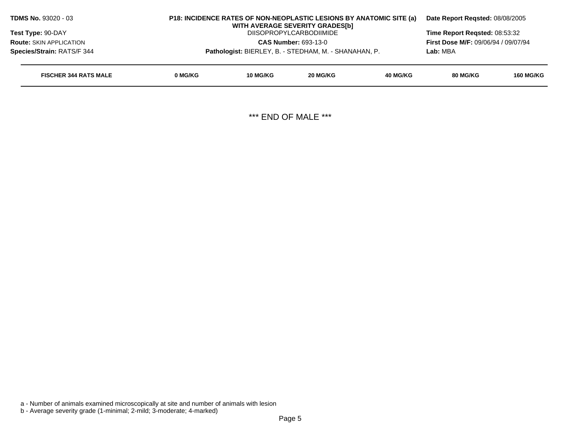| <b>TDMS No. 93020 - 03</b>                                    |         | P18: INCIDENCE RATES OF NON-NEOPLASTIC LESIONS BY ANATOMIC SITE (a)<br>WITH AVERAGE SEVERITY GRADES[b] | Date Report Regsted: 08/08/2005 |                 |                                            |                  |  |
|---------------------------------------------------------------|---------|--------------------------------------------------------------------------------------------------------|---------------------------------|-----------------|--------------------------------------------|------------------|--|
| <b>Test Type: 90-DAY</b>                                      |         |                                                                                                        | <b>DIISOPROPYLCARBODIIMIDE</b>  |                 | Time Report Regsted: 08:53:32              |                  |  |
| <b>CAS Number: 693-13-0</b><br><b>Route: SKIN APPLICATION</b> |         |                                                                                                        |                                 |                 | <b>First Dose M/F: 09/06/94 / 09/07/94</b> |                  |  |
| Species/Strain: RATS/F 344                                    |         | Pathologist: BIERLEY, B. - STEDHAM, M. - SHANAHAN, P.                                                  |                                 |                 | Lab: MBA                                   |                  |  |
| <b>FISCHER 344 RATS MALE</b>                                  | 0 MG/KG | 10 MG/KG                                                                                               | 20 MG/KG                        | <b>40 MG/KG</b> | 80 MG/KG                                   | <b>160 MG/KG</b> |  |
|                                                               |         |                                                                                                        |                                 |                 |                                            |                  |  |

\*\*\* END OF MALE \*\*\*

a - Number of animals examined microscopically at site and number of animals with lesion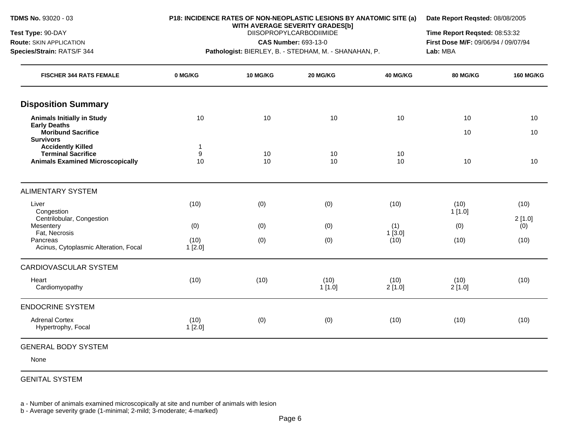**TDMS No.** 93020 - 03

**Test Type:** 90-DAY **Route:** SKIN APPLICATION **Species/Strain:** RATS/F 344

#### **P18: INCIDENCE RATES OF NON-NEOPLASTIC LESIONS BY ANATOMIC SITE (a)**

**Date Report Reqsted:** 08/08/2005

**WITH AVERAGE SEVERITY GRADES[b]**  DIISOPROPYLCARBODIIMIDE

**CAS Number:** 693-13-0

**Pathologist:** BIERLEY, B. - STEDHAM, M. - SHANAHAN, P.

**Time Report Reqsted:** 08:53:32 **First Dose M/F:** 09/06/94 / 09/07/94 **Lab:** MBA

| <b>FISCHER 344 RATS FEMALE</b>                        | 0 MG/KG           | <b>10 MG/KG</b> | 20 MG/KG       | <b>40 MG/KG</b> | 80 MG/KG       | <b>160 MG/KG</b> |
|-------------------------------------------------------|-------------------|-----------------|----------------|-----------------|----------------|------------------|
| <b>Disposition Summary</b>                            |                   |                 |                |                 |                |                  |
| <b>Animals Initially in Study</b>                     | 10                | 10              | 10             | 10              | 10             | 10               |
| <b>Early Deaths</b><br><b>Moribund Sacrifice</b>      |                   |                 |                |                 | 10             | 10               |
| <b>Survivors</b>                                      |                   |                 |                |                 |                |                  |
| <b>Accidently Killed</b><br><b>Terminal Sacrifice</b> | $\mathbf{1}$<br>9 | 10              | 10             | 10              |                |                  |
| <b>Animals Examined Microscopically</b>               | 10                | 10              | 10             | 10              | 10             | 10               |
| <b>ALIMENTARY SYSTEM</b>                              |                   |                 |                |                 |                |                  |
| Liver                                                 | (10)              | (0)             | (0)            | (10)            | (10)           | (10)             |
| Congestion<br>Centrilobular, Congestion               |                   |                 |                |                 | 1[1.0]         | 2[1.0]           |
| Mesentery                                             | (0)               | (0)             | (0)            | (1)             | (0)            | (0)              |
| Fat, Necrosis<br>Pancreas                             | (10)              |                 |                | 1[3.0]<br>(10)  | (10)           | (10)             |
| Acinus, Cytoplasmic Alteration, Focal                 | 1[2.0]            | (0)             | (0)            |                 |                |                  |
| <b>CARDIOVASCULAR SYSTEM</b>                          |                   |                 |                |                 |                |                  |
| Heart<br>Cardiomyopathy                               | (10)              | (10)            | (10)<br>1[1.0] | (10)<br>2[1.0]  | (10)<br>2[1.0] | (10)             |
|                                                       |                   |                 |                |                 |                |                  |
| <b>ENDOCRINE SYSTEM</b>                               |                   |                 |                |                 |                |                  |
| <b>Adrenal Cortex</b><br>Hypertrophy, Focal           | (10)<br>1[2.0]    | (0)             | (0)            | (10)            | (10)           | (10)             |
| <b>GENERAL BODY SYSTEM</b>                            |                   |                 |                |                 |                |                  |

None

GENITAL SYSTEM

a - Number of animals examined microscopically at site and number of animals with lesion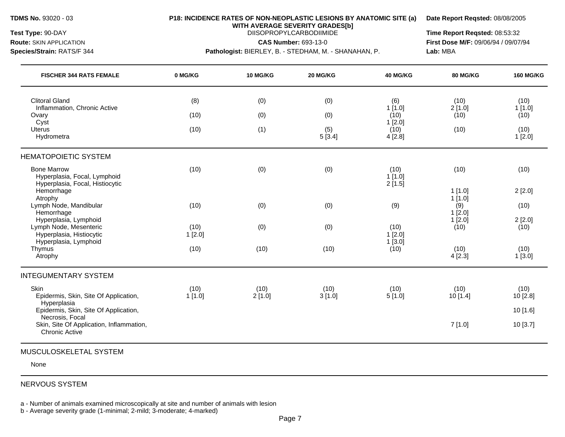**WITH AVERAGE SEVERITY GRADES[b]** 

**Species/Strain:** RATS/F 344 **Pathologist:** BIERLEY, B. - STEDHAM, M. - SHANAHAN, P. **Lab:** MBA

**Test Type:** 90-DAY DIISOPROPYLCARBODIIMIDE **Time Report Reqsted:** 08:53:32 **Route:** SKIN APPLICATION **CAS Number:** 693-13-0 **First Dose M/F:** 09/06/94 / 09/07/94

| <b>FISCHER 344 RATS FEMALE</b>                                                        | 0 MG/KG        | 10 MG/KG       | 20 MG/KG       | 40 MG/KG                 | 80 MG/KG         | <b>160 MG/KG</b> |
|---------------------------------------------------------------------------------------|----------------|----------------|----------------|--------------------------|------------------|------------------|
| <b>Clitoral Gland</b>                                                                 | (8)            | (0)            | (0)            | (6)                      | (10)             | (10)             |
| Inflammation, Chronic Active<br>Ovary                                                 | (10)           | (0)            | (0)            | 1[1.0]<br>(10)           | 2[1.0]<br>(10)   | 1[1.0]<br>(10)   |
| Cyst<br><b>Uterus</b><br>Hydrometra                                                   | (10)           | (1)            | (5)<br>5[3.4]  | 1[2.0]<br>(10)<br>4[2.8] | (10)             | (10)<br>1[2.0]   |
| <b>HEMATOPOIETIC SYSTEM</b>                                                           |                |                |                |                          |                  |                  |
| <b>Bone Marrow</b><br>Hyperplasia, Focal, Lymphoid<br>Hyperplasia, Focal, Histiocytic | (10)           | (0)            | (0)            | (10)<br>1[1.0]<br>2[1.5] | (10)             | (10)             |
| Hemorrhage<br>Atrophy                                                                 |                |                |                |                          | 1[1.0]<br>1[1.0] | 2[2.0]           |
| Lymph Node, Mandibular                                                                | (10)           | (0)            | (0)            | (9)                      | (9)              | (10)             |
| Hemorrhage<br>Hyperplasia, Lymphoid                                                   |                |                |                |                          | 1[2.0]<br>1[2.0] | 2[2.0]           |
| Lymph Node, Mesenteric<br>Hyperplasia, Histiocytic                                    | (10)<br>1[2.0] | (0)            | (0)            | (10)<br>1[2.0]           | (10)             | (10)             |
| Hyperplasia, Lymphoid                                                                 |                |                |                | $1$ [3.0]                |                  |                  |
| Thymus<br>Atrophy                                                                     | (10)           | (10)           | (10)           | (10)                     | (10)<br>4[2.3]   | (10)<br>1[3.0]   |
| <b>INTEGUMENTARY SYSTEM</b>                                                           |                |                |                |                          |                  |                  |
| Skin<br>Epidermis, Skin, Site Of Application,<br>Hyperplasia                          | (10)<br>1[1.0] | (10)<br>2[1.0] | (10)<br>3[1.0] | (10)<br>5[1.0]           | (10)<br>10 [1.4] | (10)<br>10 [2.8] |
| Epidermis, Skin, Site Of Application,                                                 |                |                |                |                          |                  | 10 [1.6]         |
| Necrosis, Focal<br>Skin, Site Of Application, Inflammation,<br><b>Chronic Active</b>  |                |                |                |                          | 7[1.0]           | 10 [3.7]         |

None

## NERVOUS SYSTEM

a - Number of animals examined microscopically at site and number of animals with lesion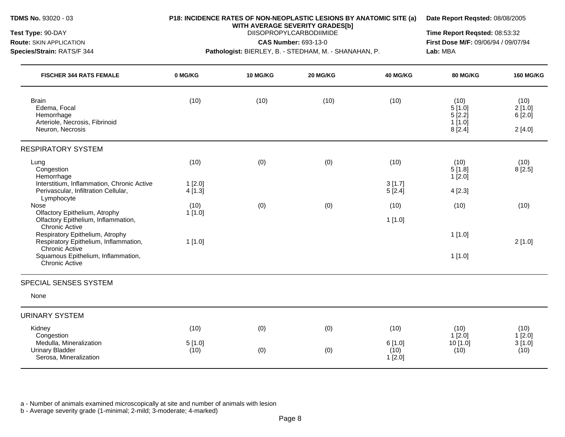**WITH AVERAGE SEVERITY GRADES[b]** 

**Species/Strain:** RATS/F 344 **Pathologist:** BIERLEY, B. - STEDHAM, M. - SHANAHAN, P. **Lab:** MBA

**Test Type:** 90-DAY DIISOPROPYLCARBODIIMIDE **Time Report Reqsted:** 08:53:32 **Route:** SKIN APPLICATION **CAS Number:** 693-13-0 **First Dose M/F:** 09/06/94 / 09/07/94

| <b>FISCHER 344 RATS FEMALE</b>                                                                        | 0 MG/KG             | 10 MG/KG | 20 MG/KG | 40 MG/KG                 | 80 MG/KG                                     | <b>160 MG/KG</b>                   |
|-------------------------------------------------------------------------------------------------------|---------------------|----------|----------|--------------------------|----------------------------------------------|------------------------------------|
| <b>Brain</b><br>Edema, Focal<br>Hemorrhage<br>Arteriole, Necrosis, Fibrinoid<br>Neuron, Necrosis      | (10)                | (10)     | (10)     | (10)                     | (10)<br>5[1.0]<br>5[2.2]<br>1[1.0]<br>8[2.4] | (10)<br>2[1.0]<br>6[2.0]<br>2[4.0] |
| <b>RESPIRATORY SYSTEM</b>                                                                             |                     |          |          |                          |                                              |                                    |
| Lung<br>Congestion<br>Hemorrhage                                                                      | (10)                | (0)      | (0)      | (10)                     | (10)<br>5[1.8]<br>1[2.0]                     | (10)<br>8[2.5]                     |
| Interstitium, Inflammation, Chronic Active<br>Perivascular, Infiltration Cellular,<br>Lymphocyte      | $1$ [2.0]<br>4[1.3] |          |          | 3[1.7]<br>5[2.4]         | 4[2.3]                                       |                                    |
| Nose<br>Olfactory Epithelium, Atrophy<br>Olfactory Epithelium, Inflammation,<br><b>Chronic Active</b> | (10)<br>1[1.0]      | (0)      | (0)      | (10)<br>1[1.0]           | (10)                                         | (10)                               |
| Respiratory Epithelium, Atrophy<br>Respiratory Epithelium, Inflammation,<br><b>Chronic Active</b>     | 1[1.0]              |          |          |                          | 1[1.0]                                       | 2[1.0]                             |
| Squamous Epithelium, Inflammation,<br><b>Chronic Active</b>                                           |                     |          |          |                          | 1[1.0]                                       |                                    |
| SPECIAL SENSES SYSTEM                                                                                 |                     |          |          |                          |                                              |                                    |
| None                                                                                                  |                     |          |          |                          |                                              |                                    |
| <b>URINARY SYSTEM</b>                                                                                 |                     |          |          |                          |                                              |                                    |
| Kidney<br>Congestion                                                                                  | (10)                | (0)      | (0)      | (10)                     | (10)<br>$1$ [2.0]                            | (10)<br>1[2.0]                     |
| Medulla, Mineralization<br><b>Urinary Bladder</b><br>Serosa, Mineralization                           | 5[1.0]<br>(10)      | (0)      | (0)      | 6[1.0]<br>(10)<br>1[2.0] | 10 [1.0]<br>(10)                             | 3[1.0]<br>(10)                     |

a - Number of animals examined microscopically at site and number of animals with lesion